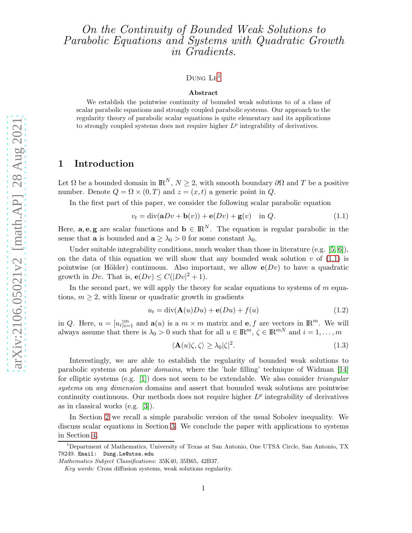# On the Continuity of Bounded Weak Solutions to Parabolic Equations and Systems with Quadratic Growth in Gradients.

### Dung Le[1](#page-0-0)

#### Abstract

We establish the pointwise continuity of bounded weak solutions to of a class of scalar parabolic equations and strongly coupled parabolic systems. Our approach to the regularity theory of parabolic scalar equations is quite elementary and its applications to strongly coupled systems does not require higher  $L^p$  integrability of derivatives.

### 1 Introduction

Let  $\Omega$  be a bounded domain in  $\mathbb{R}^N$ ,  $N \geq 2$ , with smooth boundary  $\partial \Omega$  and T be a positive number. Denote  $Q = \Omega \times (0, T)$  and  $z = (x, t)$  a generic point in Q.

In the first part of this paper, we consider the following scalar parabolic equation

<span id="page-0-1"></span>
$$
v_t = \text{div}(\mathbf{a}Dv + \mathbf{b}(v)) + \mathbf{e}(Dv) + \mathbf{g}(v) \quad \text{in } Q.
$$
 (1.1)

Here, **a**, **e**, **g** are scalar functions and **b**  $\in \mathbb{R}^{N}$ . The equation is regular parabolic in the sense that **a** is bounded and  $\mathbf{a} \geq \lambda_0 > 0$  for some constant  $\lambda_0$ .

Under suitable integrability conditions, much weaker than those in literature (e.g.  $[5, 6]$  $[5, 6]$ ), on the data of this equation we will show that any bounded weak solution  $v$  of  $(1.1)$  is pointwise (or Hölder) continuous. Also important, we allow  $e(Dv)$  to have a quadratic growth in Dv. That is,  $e(Dv) \leq C(|Dv|^2 + 1)$ .

In the second part, we will apply the theory for scalar equations to systems of  $m$  equations,  $m \geq 2$ , with linear or quadratic growth in gradients

$$
u_t = \operatorname{div}(\mathbf{A}(u)Du) + \mathbf{e}(Du) + f(u)
$$
\n(1.2)

in Q. Here,  $u = [u_i]_{i=1}^m$  and  $\mathbf{a}(u)$  is a  $m \times m$  matrix and  $\mathbf{e}, f$  are vectors in  $\mathbb{R}^m$ . We will always assume that there is  $\lambda_0 > 0$  such that for all  $u \in \mathbb{R}^m$ ,  $\zeta \in \mathbb{R}^{mN}$  and  $i = 1, \ldots, m$ 

$$
\langle \mathbf{A}(u)\zeta, \zeta \rangle \ge \lambda_0 |\zeta|^2. \tag{1.3}
$$

Interestingly, we are able to establish the regularity of bounded weak solutions to parabolic systems on planar domains, where the 'hole filling' technique of Widman [\[14\]](#page-11-2) for elliptic systems (e.g.  $[1]$ ) does not seem to be extendable. We also consider *triangular* systems on any dimension domains and assert that bounded weak solutions are pointwise continuity continuous. Our methods does not require higher  $L^p$  integrability of derivatives as in classical works (e.g. [\[3\]](#page-11-4)).

In Section [2](#page-1-0) we recall a simple parabolic version of the usual Sobolev inequality. We discuss scalar equations in Section [3.](#page-1-1) We conclude the paper with applications to systems in Section [4.](#page-8-0)

<span id="page-0-0"></span><sup>1</sup>Department of Mathematics, University of Texas at San Antonio, One UTSA Circle, San Antonio, TX 78249. Email: Dung.Le@utsa.edu

Mathematics Subject Classifications: 35K40, 35B65, 42B37.

Key words: Cross diffusion systems, weak solutions regularity.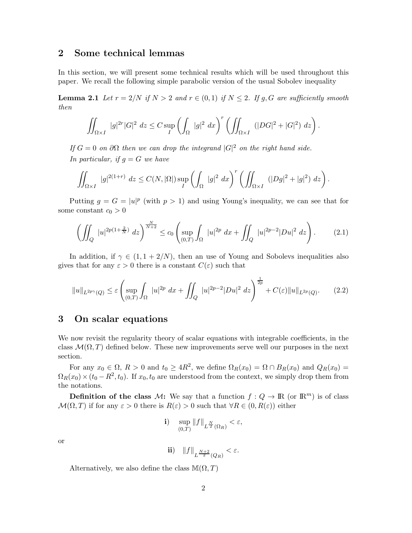## <span id="page-1-0"></span>2 Some technical lemmas

In this section, we will present some technical results which will be used throughout this paper. We recall the following simple parabolic version of the usual Sobolev inequality

**Lemma 2.1** Let  $r = 2/N$  if  $N > 2$  and  $r \in (0,1)$  if  $N \leq 2$ . If g, G are sufficiently smooth then

$$
\iint_{\Omega\times I} |g|^{2r}|G|^2 dz \leq C \sup_{I} \left( \int_{\Omega} |g|^2 dx \right)^r \left( \iint_{\Omega\times I} (|DG|^2 + |G|^2) dz \right).
$$

If  $G = 0$  on  $\partial\Omega$  then we can drop the integrand  $|G|^2$  on the right hand side. In particular, if  $g = G$  we have

$$
\iint_{\Omega\times I} |g|^{2(1+r)} dz \le C(N, |\Omega|) \sup_{I} \left( \int_{\Omega} |g|^{2} dx \right)^{r} \left( \iint_{\Omega\times I} (|Dg|^{2} + |g|^{2}) dz \right).
$$

Putting  $g = G = |u|^p$  (with  $p > 1$ ) and using Young's inequality, we can see that for some constant  $c_0 > 0$ 

$$
\left(\iint_{Q} |u|^{2p(1+\frac{2}{N})} dz\right)^{\frac{N}{N+2}} \le c_0 \left(\sup_{(0,T)} \int_{\Omega} |u|^{2p} dx + \iint_{Q} |u|^{2p-2} |Du|^2 dz\right). \tag{2.1}
$$

In addition, if  $\gamma \in (1, 1 + 2/N)$ , then an use of Young and Sobolevs inequalities also gives that for any  $\varepsilon > 0$  there is a constant  $C(\varepsilon)$  such that

$$
||u||_{L^{2p\gamma}(Q)} \leq \varepsilon \left( \sup_{(0,T)} \int_{\Omega} |u|^{2p} dx + \iint_{Q} |u|^{2p-2} |Du|^{2} dz \right)^{\frac{1}{2p}} + C(\varepsilon) ||u||_{L^{2p}(Q)}.
$$
 (2.2)

### <span id="page-1-1"></span>3 On scalar equations

We now revisit the regularity theory of scalar equations with integrable coefficients, in the class  $\mathcal{M}(\Omega, T)$  defined below. These new improvements serve well our purposes in the next section.

For any  $x_0 \in \Omega$ ,  $R > 0$  and  $t_0 \ge 4R^2$ , we define  $\Omega_R(x_0) = \Omega \cap B_R(x_0)$  and  $Q_R(x_0) =$  $\Omega_R(x_0) \times (t_0 - R^2, t_0)$ . If  $x_0, t_0$  are understood from the context, we simply drop them from the notations.

**Definition of the class M:** We say that a function  $f: Q \to \mathbb{R}$  (or  $\mathbb{R}^m$ ) is of class  $\mathcal{M}(\Omega,T)$  if for any  $\varepsilon > 0$  there is  $R(\varepsilon) > 0$  such that  $\forall R \in (0, R(\varepsilon))$  either

$$
\mathbf{i}) \quad \sup_{(0,T)} \|f\|_{L^{\frac{N}{2}}(\Omega_R)} < \varepsilon,
$$

or

$$
\textbf{ii)} \quad \|f\|_{L^{\frac{N+2}{2}}(Q_R)} < \varepsilon.
$$

Alternatively, we also define the class  $M(\Omega, T)$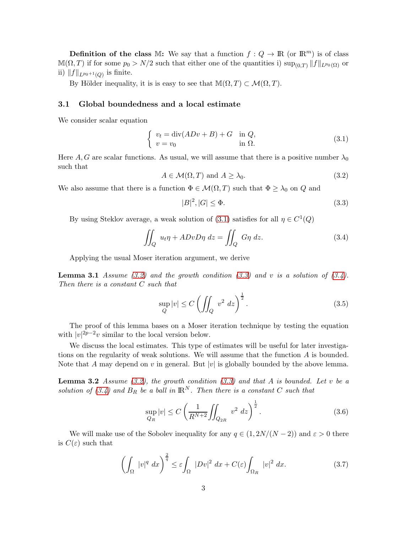**Definition of the class** M: We say that a function  $f: Q \to \mathbb{R}$  (or  $\mathbb{R}^m$ ) is of class  $\mathbb{M}(\Omega, T)$  if for some  $p_0 > N/2$  such that either one of the quantities i) sup<sub>(0,T)</sub>  $||f||_{L^{p_0}(\Omega)}$  or ii)  $||f||_{L^{p_0+1}(Q)}$  is finite.

By Hölder inequality, it is is easy to see that  $\mathbb{M}(\Omega, T) \subset \mathcal{M}(\Omega, T)$ .

### 3.1 Global boundedness and a local estimate

We consider scalar equation

<span id="page-2-0"></span>
$$
\begin{cases}\nv_t = \text{div}(ADv + B) + G & \text{in } Q, \\
v = v_0 & \text{in } \Omega.\n\end{cases}
$$
\n(3.1)

Here A, G are scalar functions. As usual, we will assume that there is a positive number  $\lambda_0$ such that

<span id="page-2-1"></span>
$$
A \in \mathcal{M}(\Omega, T) \text{ and } A \ge \lambda_0. \tag{3.2}
$$

We also assume that there is a function  $\Phi \in \mathcal{M}(\Omega, T)$  such that  $\Phi \geq \lambda_0$  on Q and

<span id="page-2-2"></span>
$$
|B|^2, |G| \le \Phi. \tag{3.3}
$$

By using Steklov average, a weak solution of [\(3.1\)](#page-2-0) satisfies for all  $\eta \in C^1(Q)$ 

<span id="page-2-3"></span>
$$
\iint_{Q} u_t \eta + ADv D\eta \ dz = \iint_{Q} G\eta \ dz.
$$
\n(3.4)

Applying the usual Moser iteration argument, we derive

**Lemma 3.1** Assume  $(3.2)$  and the growth condition  $(3.3)$  and v is a solution of  $(3.4)$ . Then there is a constant C such that

$$
\sup_{Q} |v| \le C \left( \iint_{Q} v^{2} dz \right)^{\frac{1}{2}}.
$$
\n(3.5)

The proof of this lemma bases on a Moser iteration technique by testing the equation with  $|v|^{2p-2}v$  similar to the local version below.

We discuss the local estimates. This type of estimates will be useful for later investigations on the regularity of weak solutions. We will assume that the function A is bounded. Note that A may depend on v in general. But  $|v|$  is globally bounded by the above lemma.

<span id="page-2-4"></span>**Lemma 3.2** Assume  $(3.2)$ , the growth condition  $(3.3)$  and that A is bounded. Let v be a solution of [\(3.4\)](#page-2-3) and  $B_R$  be a ball in  $\mathbb{R}^N$ . Then there is a constant C such that

$$
\sup_{Q_R} |v| \le C \left( \frac{1}{R^{N+2}} \iint_{Q_{2R}} v^2 \ dz \right)^{\frac{1}{2}}.
$$
 (3.6)

We will make use of the Sobolev inequality for any  $q \in (1, 2N/(N-2))$  and  $\varepsilon > 0$  there is  $C(\varepsilon)$  such that

$$
\left(\int_{\Omega} |v|^{q} dx\right)^{\frac{2}{q}} \leq \varepsilon \int_{\Omega} |Dv|^{2} dx + C(\varepsilon) \int_{\Omega_{R}} |v|^{2} dx. \tag{3.7}
$$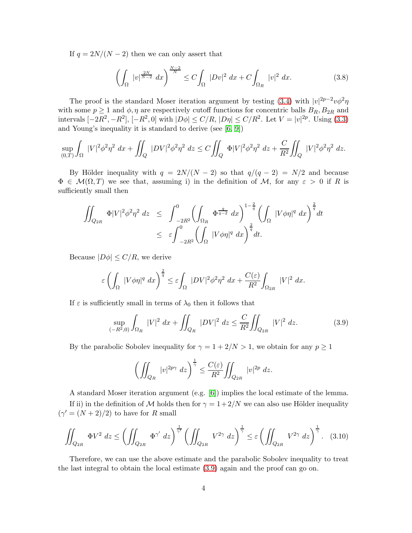If  $q = 2N/(N-2)$  then we can only assert that

$$
\left(\int_{\Omega} |v|^{\frac{2N}{N-2}} dx\right)^{\frac{N-2}{N}} \le C \int_{\Omega} |Dv|^2 dx + C \int_{\Omega_R} |v|^2 dx.
$$
 (3.8)

The proof is the standard Moser iteration argument by testing [\(3.4\)](#page-2-3) with  $|v|^{2p-2}v\phi^2\eta$ with some  $p \ge 1$  and  $\phi, \eta$  are respectively cutoff functions for concentric balls  $B_R, B_{2R}$  and intervals  $[-2R^2, -R^2]$ ,  $[-R^2, 0]$  with  $|D\phi|$  ≤  $C/R$ ,  $|D\eta|$  ≤  $C/R^2$ . Let  $V = |v|^{2p}$ . Using [\(3.3\)](#page-2-2) and Young's inequality it is standard to derive (see [\[6,](#page-11-1) [9\]](#page-11-5))

$$
\sup_{(0,T)} \int_{\Omega} |V|^2 \phi^2 \eta^2 dx + \iint_{Q} |DV|^2 \phi^2 \eta^2 dz \le C \iint_{Q} \Phi |V|^2 \phi^2 \eta^2 dz + \frac{C}{R^2} \iint_{Q} |V|^2 \phi^2 \eta^2 dz.
$$

By Hölder inequality with  $q = 2N/(N-2)$  so that  $q/(q-2) = N/2$  and because  $\Phi \in \mathcal{M}(\Omega, T)$  we see that, assuming i) in the definition of M, for any  $\varepsilon > 0$  if R is sufficiently small then

$$
\iint_{Q_{2R}} \Phi|V|^2 \phi^2 \eta^2 dz \leq \int_{-2R^2}^0 \left( \int_{\Omega_R} \Phi^{\frac{q}{q-2}} dx \right)^{1-\frac{2}{q}} \left( \int_{\Omega} |V \phi \eta|^q dx \right)^{\frac{2}{q}} dt
$$
  

$$
\leq \varepsilon \int_{-2R^2}^0 \left( \int_{\Omega} |V \phi \eta|^q dx \right)^{\frac{2}{q}} dt.
$$

Because  $|D\phi| \leq C/R$ , we derive

$$
\varepsilon \left( \int_{\Omega} |V \phi \eta|^q dx \right)^{\frac{2}{q}} \leq \varepsilon \int_{\Omega} |DV|^2 \phi^2 \eta^2 dx + \frac{C(\varepsilon)}{R^2} \int_{\Omega_{2R}} |V|^2 dx.
$$

If  $\varepsilon$  is sufficiently small in terms of  $\lambda_0$  then it follows that

<span id="page-3-0"></span>
$$
\sup_{(-R^2,0)} \int_{\Omega_R} |V|^2 \, dx + \iint_{Q_R} |DV|^2 \, dz \le \frac{C}{R^2} \iint_{Q_{2R}} |V|^2 \, dz. \tag{3.9}
$$

By the parabolic Sobolev inequality for  $\gamma = 1 + 2/N > 1$ , we obtain for any  $p \ge 1$ 

$$
\left(\iint_{Q_R} |v|^{2p\gamma} dz\right)^{\frac{1}{\gamma}} \le \frac{C(\varepsilon)}{R^2} \iint_{Q_{2R}} |v|^{2p} dz.
$$

A standard Moser iteration argument (e.g. [\[6\]](#page-11-1)) implies the local estimate of the lemma. If ii) in the definition of M holds then for  $\gamma = 1 + 2/N$  we can also use Hölder inequality  $(\gamma' = (N+2)/2)$  to have for R small

<span id="page-3-1"></span>
$$
\iint_{Q_{2R}} \Phi V^2 \ dz \le \left(\iint_{Q_{2R}} \Phi^{\gamma'} \ dz\right)^{\frac{1}{\gamma'}} \left(\iint_{Q_{2R}} V^{2\gamma} \ dz\right)^{\frac{1}{\gamma}} \le \varepsilon \left(\iint_{Q_{2R}} V^{2\gamma} \ dz\right)^{\frac{1}{\gamma}}.\tag{3.10}
$$

Therefore, we can use the above estimate and the parabolic Sobolev inequality to treat the last integral to obtain the local estimate [\(3.9\)](#page-3-0) again and the proof can go on.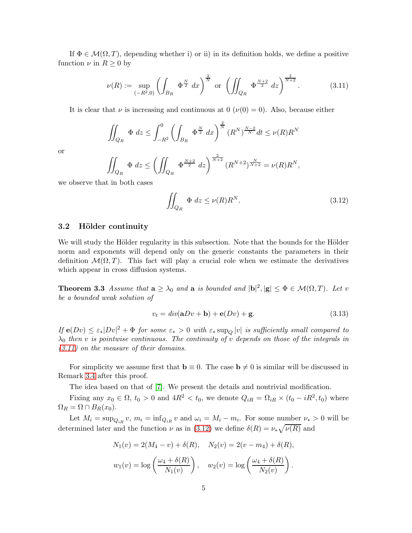If  $\Phi \in \mathcal{M}(\Omega, T)$ , depending whether i) or ii) in its definition holds, we define a positive function  $\nu$  in  $R \geq 0$  by

<span id="page-4-0"></span>
$$
\nu(R) := \sup_{(-R^2,0)} \left( \int_{B_R} \Phi^{\frac{N}{2}} dx \right)^{\frac{2}{N}} \text{ or } \left( \iint_{Q_R} \Phi^{\frac{N+2}{2}} dz \right)^{\frac{2}{N+2}}.
$$
 (3.11)

It is clear that  $\nu$  is increasing and continuous at 0 ( $\nu(0) = 0$ ). Also, because either

$$
\iint_{Q_R} \Phi dz \le \int_{-R^2}^0 \left( \int_{B_R} \Phi^{\frac{N}{2}} dx \right)^{\frac{2}{N}} (R^N)^{\frac{N-2}{N}} dt \le \nu(R) R^N
$$

or

$$
\iint_{Q_R} \Phi \, dz \le \left( \iint_{Q_R} \Phi^{\frac{N+2}{2}} \, dz \right)^{\frac{2}{N+2}} (R^{N+2})^{\frac{N}{N+2}} = \nu(R)R^N,
$$

we observe that in both cases

<span id="page-4-1"></span>
$$
\iint_{Q_R} \Phi \, dz \le \nu(R) R^N. \tag{3.12}
$$

### 3.2 Hölder continuity

We will study the Hölder regularity in this subsection. Note that the bounds for the Hölder norm and exponents will depend only on the generic constants the parameters in their definition  $\mathcal{M}(\Omega, T)$ . This fact will play a crucial role when we estimate the derivatives which appear in cross diffusion systems.

<span id="page-4-2"></span>**Theorem 3.3** Assume that  $\mathbf{a} \geq \lambda_0$  and  $\mathbf{a}$  is bounded and  $|\mathbf{b}|^2$ ,  $|\mathbf{g}| \leq \Phi \in \mathcal{M}(\Omega, T)$ . Let v be a bounded weak solution of

$$
v_t = \text{div}(\mathbf{a}Dv + \mathbf{b}) + \mathbf{e}(Dv) + \mathbf{g}.\tag{3.13}
$$

If  $e(Dv) \leq \varepsilon_*|Dv|^2 + \Phi$  for some  $\varepsilon_* > 0$  with  $\varepsilon_*$  sup<sub>Q</sub> |v| is sufficiently small compared to  $\lambda_0$  then v is pointwise continuous. The continuity of v depends on those of the integrals in [\(3.11\)](#page-4-0) on the measure of their domains.

For simplicity we assume first that  $\mathbf{b} \equiv 0$ . The case  $\mathbf{b} \neq 0$  is similar will be discussed in Remark [3.4](#page-7-0) after this proof.

The idea based on that of [\[7\]](#page-11-6). We present the details and nontrivial modification.

Fixing any  $x_0 \in \Omega$ ,  $t_0 > 0$  and  $4R^2 < t_0$ , we denote  $Q_{iR} = \Omega_{iR} \times (t_0 - iR^2, t_0)$  where  $\Omega_R = \Omega \cap B_R(x_0).$ 

Let  $M_i = \sup_{Q_{iR}} v, m_i = \inf_{Q_{iR}} v$  and  $\omega_i = M_i - m_i$ . For some number  $\nu_* > 0$  will be determined later and the function  $\nu$  as in [\(3.12\)](#page-4-1) we define  $\delta(R) = \nu_* \sqrt{\nu(R)}$  and

$$
N_1(v) = 2(M_4 - v) + \delta(R), \quad N_2(v) = 2(v - m_4) + \delta(R),
$$
  

$$
w_1(v) = \log\left(\frac{\omega_4 + \delta(R)}{N_1(v)}\right), \quad w_2(v) = \log\left(\frac{\omega_4 + \delta(R)}{N_2(v)}\right).
$$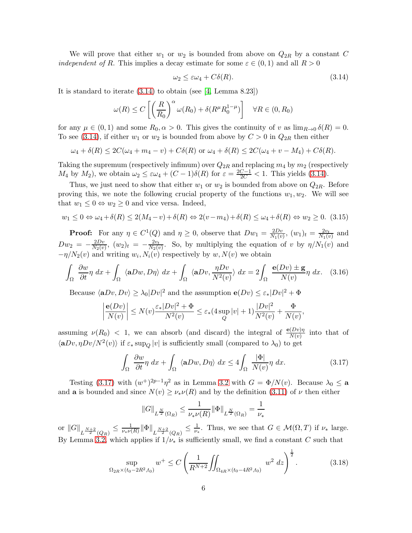We will prove that either  $w_1$  or  $w_2$  is bounded from above on  $Q_{2R}$  by a constant C independent of R. This implies a decay estimate for some  $\varepsilon \in (0,1)$  and all  $R > 0$ 

<span id="page-5-0"></span>
$$
\omega_2 \le \varepsilon \omega_4 + C\delta(R). \tag{3.14}
$$

It is standard to iterate [\(3.14\)](#page-5-0) to obtain (see [\[4,](#page-11-7) Lemma 8.23])

$$
\omega(R) \le C \left[ \left( \frac{R}{R_0} \right)^{\alpha} \omega(R_0) + \delta(R^{\mu} R_0^{1-\mu}) \right] \quad \forall R \in (0, R_0)
$$

for any  $\mu \in (0,1)$  and some  $R_0, \alpha > 0$ . This gives the continuity of v as  $\lim_{R\to 0} \delta(R) = 0$ . To see [\(3.14\)](#page-5-0), if either  $w_1$  or  $w_2$  is bounded from above by  $C > 0$  in  $Q_{2R}$  then either

$$
\omega_4 + \delta(R) \le 2C(\omega_4 + m_4 - v) + C\delta(R)
$$
 or 
$$
\omega_4 + \delta(R) \le 2C(\omega_4 + v - M_4) + C\delta(R).
$$

Taking the supremum (respectively infimum) over  $Q_{2R}$  and replacing  $m_4$  by  $m_2$  (respectively  $M_4$  by  $M_2$ ), we obtain  $\omega_2 \leq \varepsilon \omega_4 + (C-1)\delta(R)$  for  $\varepsilon = \frac{2C-1}{2C} < 1$ . This yields [\(3.14\)](#page-5-0).

Thus, we just need to show that either  $w_1$  or  $w_2$  is bounded from above on  $Q_{2R}$ . Before proving this, we note the following crucial property of the functions  $w_1, w_2$ . We will see that  $w_1 \leq 0 \Leftrightarrow w_2 \geq 0$  and vice versa. Indeed,

<span id="page-5-3"></span>
$$
w_1 \le 0 \Leftrightarrow \omega_4 + \delta(R) \le 2(M_4 - v) + \delta(R) \Leftrightarrow 2(v - m_4) + \delta(R) \le \omega_4 + \delta(R) \Leftrightarrow w_2 \ge 0. \tag{3.15}
$$

**Proof:** For any  $\eta \in C^1(Q)$  and  $\eta \ge 0$ , observe that  $Dw_1 = \frac{2Dv}{N_1(v)}$ ,  $(w_1)_t = \frac{2v_t}{N_1(v)}$  and  $Dw_2 = -\frac{2Dv}{N_2(v)}$  $\frac{2Dv}{N_2(v)}$ ,  $(w_2)_t = -\frac{2v_t}{N_2(v)}$ . So, by multiplying the equation of v by  $\eta/N_1(v)$  and  $-\eta/N_2(v)$  and writing  $w_i, N_i(v)$  respectively by  $w, N(v)$  we obtain

<span id="page-5-2"></span>
$$
\int_{\Omega} \frac{\partial w}{\partial t} \eta \, dx + \int_{\Omega} \langle aDw, D\eta \rangle \, dx + \int_{\Omega} \langle aDv, \frac{\eta Dv}{N^2(v)} \rangle \, dx = 2 \int_{\Omega} \frac{\mathbf{e}(Dv) \pm \mathbf{g}}{N(v)} \eta \, dx. \tag{3.16}
$$

Because  $\langle aDv, Dv \rangle \ge \lambda_0 |Dv|^2$  and the assumption  $e(Dv) \le \varepsilon_* |Dv|^2 + \Phi$ 

$$
\left|\frac{\mathbf{e}(Dv)}{N(v)}\right| \le N(v)\frac{\varepsilon_*|Dv|^2 + \Phi}{N^2(v)} \le \varepsilon_* (4\sup_Q|v| + 1)\frac{|Dv|^2}{N^2(v)} + \frac{\Phi}{N(v)}
$$

assuming  $\nu(R_0)$  < 1, we can absorb (and discard) the integral of  $\frac{e(Dv)\eta}{N(v)}$  into that of  $\langle aDv, \eta Dv/N^2(v) \rangle$  if  $\varepsilon_* \sup_Q |v|$  is sufficiently small (compared to  $\lambda_0$ ) to get

<span id="page-5-1"></span>
$$
\int_{\Omega} \frac{\partial w}{\partial t} \eta \, dx + \int_{\Omega} \langle aDw, D\eta \rangle \, dx \le 4 \int_{\Omega} \frac{|\Phi|}{N(v)} \eta \, dx. \tag{3.17}
$$

,

Testing [\(3.17\)](#page-5-1) with  $(w^+)^{2p-1}\eta^2$  as in Lemma [3.2](#page-2-4) with  $G = \Phi/N(v)$ . Because  $\lambda_0 \le a$ and **a** is bounded and since  $N(v) \geq \nu_* \nu(R)$  and by the definition [\(3.11\)](#page-4-0) of  $\nu$  then either

$$
||G||_{L^{\frac{N}{2}}(\Omega_R)} \le \frac{1}{\nu_* \nu(R)} ||\Phi||_{L^{\frac{N}{2}}(\Omega_R)} = \frac{1}{\nu_*}
$$

or  $||G||_{L^{\frac{N+2}{2}}(Q_R)} \leq \frac{1}{\nu_* \nu}$  $\frac{1}{\nu_*\nu(R)}\|\Phi\|_{L^{\frac{N+2}{2}}(Q_R)} \leq \frac{1}{\nu_*}.$  Thus, we see that  $G \in \mathcal{M}(\Omega,T)$  if  $\nu_*$  large. By Lemma [3.2,](#page-2-4) which applies if  $1/\nu_*$  is sufficiently small, we find a constant C such that

<span id="page-5-4"></span>
$$
\sup_{\Omega_{2R}\times(t_0-2R^2,t_0)} w^+ \le C\left(\frac{1}{R^{N+2}}\iint_{\Omega_{4R}\times(t_0-4R^2,t_0)} w^2\ dz\right)^{\frac{1}{2}}.\tag{3.18}
$$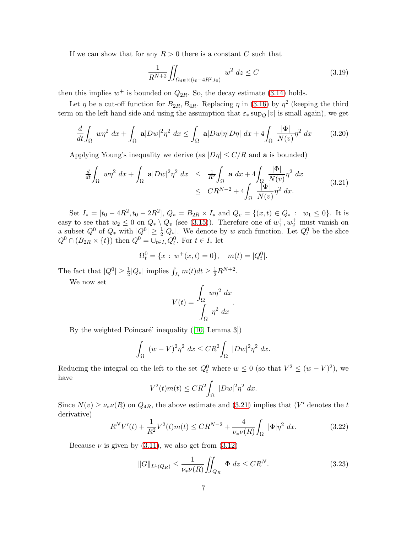If we can show that for any  $R > 0$  there is a constant C such that

<span id="page-6-3"></span>
$$
\frac{1}{R^{N+2}} \iint_{\Omega_{4R} \times (t_0 - 4R^2, t_0)} w^2 \, dz \le C \tag{3.19}
$$

then this implies  $w^+$  is bounded on  $Q_{2R}$ . So, the decay estimate [\(3.14\)](#page-5-0) holds.

Let  $\eta$  be a cut-off function for  $B_{2R}$ ,  $B_{4R}$ . Replacing  $\eta$  in [\(3.16\)](#page-5-2) by  $\eta^2$  (keeping the third term on the left hand side and using the assumption that  $\varepsilon_* \sup_Q |v|$  is small again), we get

$$
\frac{d}{dt} \int_{\Omega} \left| w \eta \right|^{2} dx + \int_{\Omega} \left| a |Dw|^{2} \eta^{2} dx \le \int_{\Omega} \left| a |Dw| \eta |D\eta \right| dx + 4 \int_{\Omega} \left| \frac{\phi|}{N(v)} \eta^{2} dx \right| \tag{3.20}
$$

Applying Young's inequality we derive (as  $|D\eta| \le C/R$  and **a** is bounded)

<span id="page-6-0"></span>
$$
\frac{d}{dt} \int_{\Omega} w \eta^2 dx + \int_{\Omega} \mathbf{a} |Dw|^2 \eta^2 dx \le \frac{1}{R^2} \int_{\Omega} \mathbf{a} dx + 4 \int_{\Omega} \frac{|\Phi|}{N(v)} \eta^2 dx
$$
\n
$$
\le CR^{N-2} + 4 \int_{\Omega} \frac{|\Phi|}{N(v)} \eta^2 dx. \tag{3.21}
$$

Set  $I_* = [t_0 - 4R^2, t_0 - 2R^2], Q_* = B_{2R} \times I_*$  and  $Q_v = \{(x, t) \in Q_* : w_1 \leq 0\}.$  It is easy to see that  $w_2 \leq 0$  on  $Q_* \setminus Q_v$  (see [\(3.15\)](#page-5-3)). Therefore one of  $w_1^+, w_2^+$  must vanish on a subset  $Q^0$  of  $Q_*$  with  $|Q^0| \geq \frac{1}{2}|Q_*|$ . We denote by w such function. Let  $Q_t^0$  be the slice  $Q^0 \cap (B_{2R} \times \{t\})$  then  $Q^0 = \bigcup_{t \in I_*} Q_t^0$ . For  $t \in I_*$  let

$$
\Omega_t^0 = \{x : w^+(x,t) = 0\}, \quad m(t) = |Q_t^0|.
$$

The fact that  $|Q^0| \ge \frac{1}{2}|Q_*|$  implies  $\int_{I_*} m(t)dt \ge \frac{1}{2}R^{N+2}$ .

We now set

$$
V(t) = \frac{\int_{\Omega} w \eta^2 dx}{\int_{\Omega} \eta^2 dx}.
$$

By the weighted Poincaré' inequality  $([10, \text{Lemma } 3])$  $([10, \text{Lemma } 3])$  $([10, \text{Lemma } 3])$ 

$$
\int_{\Omega} (w - V)^2 \eta^2 dx \leq CR^2 \int_{\Omega} |Dw|^2 \eta^2 dx.
$$

Reducing the integral on the left to the set  $Q_t^0$  where  $w \leq 0$  (so that  $V^2 \leq (w - V)^2$ ), we have

$$
V^2(t)m(t) \leq CR^2 \int_{\Omega} |Dw|^2 \eta^2 dx.
$$

Since  $N(v) \geq \nu_* \nu(R)$  on  $Q_{4R}$ , the above estimate and [\(3.21\)](#page-6-0) implies that (V' denotes the t derivative)

<span id="page-6-1"></span>
$$
R^{N}V'(t) + \frac{1}{R^{2}}V^{2}(t)m(t) \leq CR^{N-2} + \frac{4}{\nu_{*}\nu(R)}\int_{\Omega} |\Phi|\eta^{2} dx.
$$
 (3.22)

Because  $\nu$  is given by [\(3.11\)](#page-4-0), we also get from [\(3.12\)](#page-4-1)

<span id="page-6-2"></span>
$$
||G||_{L^{1}(Q_{R})} \leq \frac{1}{\nu_{*}\nu(R)} \iint_{Q_{R}} \Phi \, dz \leq CR^{N}.
$$
 (3.23)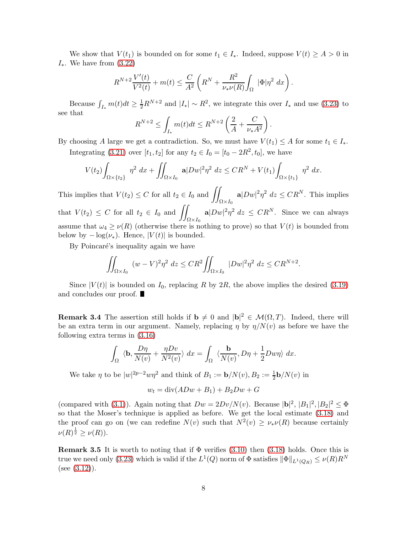We show that  $V(t_1)$  is bounded on for some  $t_1 \in I_*$ . Indeed, suppose  $V(t) \geq A > 0$  in  $I_*$ . We have from  $(3.22)$ 

$$
R^{N+2} \frac{V'(t)}{V^2(t)} + m(t) \le \frac{C}{A^2} \left( R^N + \frac{R^2}{\nu_* \nu(R)} \int_{\Omega} |\Phi| \eta^2 dx \right).
$$

Because  $\int_{I_*} m(t)dt \geq \frac{1}{2}R^{N+2}$  and  $|I_*| \sim R^2$ , we integrate this over  $I_*$  and use [\(3.23\)](#page-6-2) to see that

$$
R^{N+2} \le \int_{I_*} m(t)dt \le R^{N+2} \left( \frac{2}{A} + \frac{C}{\nu_* A^2} \right).
$$

By choosing A large we get a contradiction. So, we must have  $V(t_1) \leq A$  for some  $t_1 \in I_*$ . Integrating [\(3.21\)](#page-6-0) over  $[t_1, t_2]$  for any  $t_2 \in I_0 = [t_0 - 2R^2, t_0]$ , we have

$$
V(t_2) \int_{\Omega \times \{t_2\}} \eta^2 \, dx + \iint_{\Omega \times I_0} \mathbf{a} |Dw|^2 \eta^2 \, dz \leq CR^N + V(t_1) \int_{\Omega \times \{t_1\}} \eta^2 \, dx.
$$

This implies that  $V(t_2) \leq C$  for all  $t_2 \in I_0$  and  $\left| \int \right|$  $\Omega \times I_0$  $|Bw|^2 \eta^2 dz \leq CR^N$ . This implies that  $V(t_2) \leq C$  for all  $t_2 \in I_0$  and  $\left| \int \right|$  $\Omega \times I_0$  $a|Dw|^2\eta^2 dz \leq CR^N$ . Since we can always assume that  $\omega_4 \geq \nu(R)$  (otherwise there is nothing to prove) so that  $V(t)$  is bounded from below by  $-\log(\nu_*)$ . Hence,  $|V(t)|$  is bounded.

By Poincaré's inequality again we have

$$
\iint_{\Omega \times I_0} (w - V)^2 \eta^2 dz \leq C R^2 \iint_{\Omega \times I_0} |Dw|^2 \eta^2 dz \leq C R^{N+2}
$$

.

<span id="page-7-0"></span>Since  $|V(t)|$  is bounded on  $I_0$ , replacing R by 2R, the above implies the desired [\(3.19\)](#page-6-3) and concludes our proof.

**Remark 3.4** The assertion still holds if  $\mathbf{b} \neq 0$  and  $|\mathbf{b}|^2 \in \mathcal{M}(\Omega, T)$ . Indeed, there will be an extra term in our argument. Namely, replacing  $\eta$  by  $\eta/N(v)$  as before we have the following extra terms in [\(3.16\)](#page-5-2)

$$
\int_{\Omega} \langle \mathbf{b}, \frac{D\eta}{N(v)} + \frac{\eta Dv}{N^2(v)} \rangle dx = \int_{\Omega} \langle \frac{\mathbf{b}}{N(v)}, D\eta + \frac{1}{2}Dw\eta \rangle dx.
$$

We take  $\eta$  to be  $|w|^{2p-2}w\eta^2$  and think of  $B_1 := \mathbf{b}/N(v)$ ,  $B_2 := \frac{1}{2}\mathbf{b}/N(v)$  in

$$
w_t = \text{div}(ADw + B_1) + B_2Dw + G
$$

(compared with [\(3.1\)](#page-2-0)). Again noting that  $Dw = 2Dv/N(v)$ . Because  $|\mathbf{b}|^2$ ,  $|B_1|^2$ ,  $|B_2|^2 \leq \Phi$ so that the Moser's technique is applied as before. We get the local estimate [\(3.18\)](#page-5-4) and the proof can go on (we can redefine  $N(v)$  such that  $N^2(v) \geq \nu_* \nu(R)$  because certainly  $\nu(R)^{\frac{1}{2}} \geq \nu(R)$ ).

**Remark 3.5** It is worth to noting that if  $\Phi$  verifies [\(3.10\)](#page-3-1) then [\(3.18\)](#page-5-4) holds. Once this is true we need only [\(3.23\)](#page-6-2) which is valid if the  $L^1(Q)$  norm of  $\Phi$  satisfies  $\|\Phi\|_{L^1(Q_R)} \leq \nu(R)R^N$  $(see (3.12)).$  $(see (3.12)).$  $(see (3.12)).$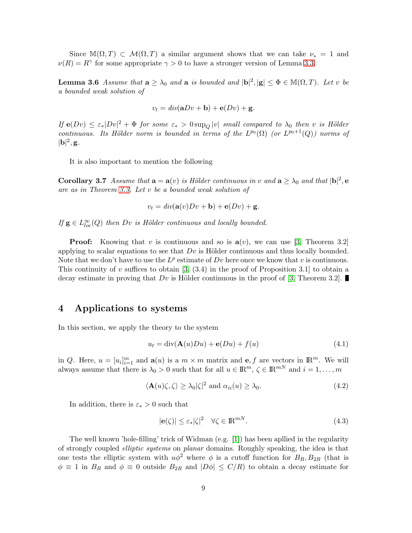Since  $\mathbb{M}(\Omega,T) \subset \mathcal{M}(\Omega,T)$  a similar argument shows that we can take  $\nu_* = 1$  and  $\nu(R) = R^{\gamma}$  for some appropriate  $\gamma > 0$  to have a stronger version of Lemma [3.3.](#page-4-2)

**Lemma 3.6** Assume that  $\mathbf{a} \geq \lambda_0$  and  $\mathbf{a}$  is bounded and  $|\mathbf{b}|^2$ ,  $|\mathbf{g}| \leq \Phi \in M(\Omega, T)$ . Let v be a bounded weak solution of

$$
v_t = div(\mathbf{a}Dv + \mathbf{b}) + \mathbf{e}(Dv) + \mathbf{g}.
$$

If  $e(Dv) \leq \varepsilon_*|Dv|^2 + \Phi$  for some  $\varepsilon_* > 0 \sup_Q |v|$  small compared to  $\lambda_0$  then v is Hölder continuous. Its Hölder norm is bounded in terms of the  $L^{p_0}(\Omega)$  (or  $L^{p_0+1}(Q)$ ) norms of  $|{\bf b}|^2, {\bf g}.$ 

<span id="page-8-4"></span>It is also important to mention the following

**Corollary 3.7** Assume that  $\mathbf{a} = \mathbf{a}(v)$  is Hölder continuous in v and  $\mathbf{a} \geq \lambda_0$  and that  $|\mathbf{b}|^2$ ,  $\mathbf{e}$ are as in Theorem [3.3.](#page-4-2) Let v be a bounded weak solution of

$$
v_t = div(\mathbf{a}(v)Dv + \mathbf{b}) + \mathbf{e}(Dv) + \mathbf{g}.
$$

If  $g \in L^{\infty}_{loc}(Q)$  then Dv is Hölder continuous and locally bounded.

**Proof:** Knowing that v is continuous and so is  $\mathbf{a}(v)$ , we can use [\[3,](#page-11-4) Theorem 3.2] applying to scalar equations to see that  $Dv$  is Hölder continuous and thus locally bounded. Note that we don't have to use the  $L^p$  estimate of  $Dv$  here once we know that v is continuous. This continuity of v suffices to obtain  $[3, (3.4)$  in the proof of Proposition 3.1 to obtain a decay estimate in proving that Dv is Hölder continuous in the proof of [\[3,](#page-11-4) Theorem 3.2].

### <span id="page-8-0"></span>4 Applications to systems

In this section, we apply the theory to the system

<span id="page-8-1"></span>
$$
u_t = \text{div}(\mathbf{A}(u)Du) + \mathbf{e}(Du) + f(u)
$$
\n(4.1)

in Q. Here,  $u = [u_i]_{i=1}^m$  and  $\mathbf{a}(u)$  is a  $m \times m$  matrix and  $\mathbf{e}, f$  are vectors in  $\mathbb{R}^m$ . We will always assume that there is  $\lambda_0 > 0$  such that for all  $u \in \mathbb{R}^m$ ,  $\zeta \in \mathbb{R}^{mN}$  and  $i = 1, \ldots, m$ 

<span id="page-8-3"></span>
$$
\langle \mathbf{A}(u)\zeta, \zeta \rangle \ge \lambda_0 |\zeta|^2 \text{ and } \alpha_{ii}(u) \ge \lambda_0. \tag{4.2}
$$

In addition, there is  $\varepsilon_* > 0$  such that

<span id="page-8-2"></span>
$$
|\mathbf{e}(\zeta)| \le \varepsilon_* |\zeta|^2 \quad \forall \zeta \in \mathbb{R}^{mN}.\tag{4.3}
$$

The well known 'hole-filling' trick of Widman (e.g. [\[1\]](#page-11-3)) has been apllied in the regularity of strongly coupled elliptic systems on planar domains. Roughly speaking, the idea is that one tests the elliptic system with  $u\phi^2$  where  $\phi$  is a cutoff function for  $B_R, B_{2R}$  (that is  $\phi \equiv 1$  in  $B_R$  and  $\phi \equiv 0$  outside  $B_{2R}$  and  $|D\phi| \le C/R$  to obtain a decay estimate for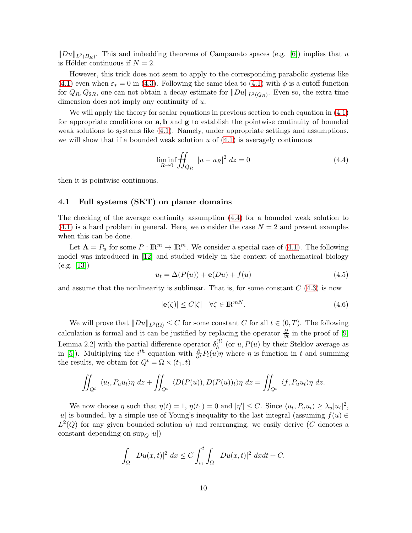$||Du||_{L^2(B_R)}$ . This and imbedding theorems of Campanato spaces (e.g. [\[6\]](#page-11-1)) implies that u is Hölder continuous if  $N = 2$ .

However, this trick does not seem to apply to the corresponding parabolic systems like [\(4.1\)](#page-8-1) even when  $\varepsilon_* = 0$  in [\(4.3\)](#page-8-2). Following the same idea to [\(4.1\)](#page-8-1) with  $\phi$  is a cutoff function for  $Q_R, Q_{2R}$ , one can not obtain a decay estimate for  $||Du||_{L^2(Q_R)}$ . Even so, the extra time dimension does not imply any continuity of  $u$ .

We will apply the theory for scalar equations in previous section to each equation in [\(4.1\)](#page-8-1) for appropriate conditions on  $\mathbf{a}, \mathbf{b}$  and  $\mathbf{g}$  to establish the pointwise continuity of bounded weak solutions to systems like [\(4.1\)](#page-8-1). Namely, under appropriate settings and assumptions, we will show that if a bounded weak solution  $u$  of  $(4.1)$  is averagely continuous

<span id="page-9-0"></span>
$$
\liminf_{R \to 0} \iint_{Q_R} |u - u_R|^2 \, dz = 0 \tag{4.4}
$$

then it is pointwise continuous.

#### 4.1 Full systems (SKT) on planar domains

The checking of the average continuity assumption [\(4.4\)](#page-9-0) for a bounded weak solution to  $(4.1)$  is a hard problem in general. Here, we consider the case  $N = 2$  and present examples when this can be done.

Let  $\mathbf{A} = P_u$  for some  $P : \mathbb{R}^m \to \mathbb{R}^m$ . We consider a special case of [\(4.1\)](#page-8-1). The following model was introduced in [\[12\]](#page-11-9) and studied widely in the context of mathematical biology (e.g. [\[13\]](#page-11-10))

<span id="page-9-1"></span>
$$
u_t = \Delta(P(u)) + \mathbf{e}(Du) + f(u) \tag{4.5}
$$

and assume that the nonlinearity is sublinear. That is, for some constant  $C(4.3)$  $C(4.3)$  is now

<span id="page-9-2"></span>
$$
|\mathbf{e}(\zeta)| \le C|\zeta| \quad \forall \zeta \in \mathbb{R}^{mN}.\tag{4.6}
$$

We will prove that  $||Du||_{L^2(\Omega)} \leq C$  for some constant C for all  $t \in (0,T)$ . The following calculation is formal and it can be justified by replacing the operator  $\frac{\partial}{\partial t}$  in the proof of [\[9,](#page-11-5) Lemma 2.2 with the partial difference operator  $\delta_h^{(t)}$  $h^{(t)}$  (or  $u, P(u)$  by their Steklov average as in [\[5\]](#page-11-0)). Multiplying the  $i^{th}$  equation with  $\frac{\partial}{\partial t}P_i(u)\eta$  where  $\eta$  is function in t and summing the results, we obtain for  $Q^t = \Omega \times (t_1, t)$ 

$$
\iint_{Q^t} \langle u_t, P_u u_t \rangle \eta \, dz + \iint_{Q^t} \langle D(P(u)), D(P(u))_t \rangle \eta \, dz = \iint_{Q^t} \langle f, P_u u_t \rangle \eta \, dz.
$$

We now choose  $\eta$  such that  $\eta(t) = 1$ ,  $\eta(t_1) = 0$  and  $|\eta'| \leq C$ . Since  $\langle u_t, P_u u_t \rangle \geq \lambda_u |u_t|^2$ , |u| is bounded, by a simple use of Young's inequality to the last integral (assuming  $f(u)$  ∈  $L^2(Q)$  for any given bounded solution u) and rearranging, we easily derive (C denotes a constant depending on  $\sup_{Q} |u|$ 

$$
\int_{\Omega} |Du(x,t)|^2 dx \leq C \int_{t_1}^t \int_{\Omega} |Du(x,t)|^2 dx dt + C.
$$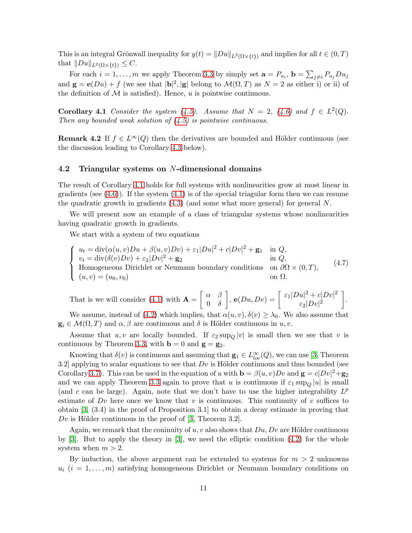This is an integral Grönwall inequality for  $y(t) = ||Du||_{L^2(\Omega \times \{t\})}$  and implies for all  $t \in (0, T)$ that  $||Du||_{L^2(\Omega\times\{t\})}\leq C.$ 

For each  $i = 1, ..., m$  we apply Theorem [3.3](#page-4-2) by simply set  $\mathbf{a} = P_{u_i}$ ,  $\mathbf{b} = \sum_{j \neq i} P_{u_j} D u_j$ and  $\mathbf{g} = \mathbf{e}(Du) + f$  (we see that  $|\mathbf{b}|^2$ , |g| belong to  $\mathcal{M}(\Omega, T)$  as  $N = 2$  as either i) or ii) of the definition of  $M$  is satisfied). Hence,  $u$  is pointwise continuous.

<span id="page-10-0"></span>**Corollary 4.1** Consider the system [\(4.5\)](#page-9-1). Assume that  $N = 2$ , [\(4.6\)](#page-9-2) and  $f \in L^2(Q)$ . Then any bounded weak solution of  $(4.5)$  is pointwise continuous.

**Remark 4.2** If  $f \in L^{\infty}(Q)$  then the derivatives are bounded and Hölder continuous (see the discussion leading to Corollary [4.3](#page-11-11) below).

#### 4.2 Triangular systems on N-dimensional domains

The result of Corollary [4.1](#page-10-0) holds for full systems with nonlinearities grow at most linear in gradients (see  $(4.6)$ ). If the system  $(4.1)$  is of the special triagular form then we can resume the quadratic growth in gradients  $(4.3)$  (and some what more general) for general N.

We will present now an example of a class of triangular systems whose nonlinearities having quadratic growth in gradients.

We start with a system of two equations

$$
\begin{cases}\nu_t = \text{div}(\alpha(u, v)Du + \beta(u, v)Dv) + \varepsilon_1|Du|^2 + c|Dv|^2 + \mathbf{g}_1 & \text{in } Q, \\
v_t = \text{div}(\delta(v)Dv) + \varepsilon_2|Dv|^2 + \mathbf{g}_2 & \text{in } Q, \\
\text{Homogeneous Dirichlet or Neumann boundary conditions} & \text{on } \partial\Omega \times (0, T), \\
(u, v) = (u_0, v_0) & \text{on } \Omega.\n\end{cases}
$$
\n(4.7)

That is we will consider [\(4.1\)](#page-8-1) with  $\mathbf{A} = \begin{bmatrix} \alpha & \beta \\ 0 & s \end{bmatrix}$  $0 \delta$  $\left| \int_{\Omega} e(Du, Dv) \right| = \int_{\Omega} \frac{\varepsilon_1 |Du|^2 + c|Dv|^2}{\varepsilon_1 |\nabla u|^2}$  $\varepsilon_2 |Dv|^2$ .

We assume, instead of [\(4.2\)](#page-8-3) which implies, that  $\alpha(u, v), \delta(v) \geq \lambda_0$ . We also assume that  $\mathbf{g}_i \in \mathcal{M}(\Omega, T)$  and  $\alpha, \beta$  are continuous and  $\delta$  is Hölder continuous in  $u, v$ .

Assume that u, v are locally bounded. If  $\varepsilon_2 \sup_Q |v|$  is small then we see that v is continuous by Theorem [3.3,](#page-4-2) with  $\mathbf{b} = 0$  and  $\mathbf{g} = \mathbf{g}_2$ .

Knowing that  $\delta(v)$  is continuous and assuming that  $\mathbf{g}_1 \in L^{\infty}_{loc}(Q)$ , we can use [\[3,](#page-11-4) Theorem 3.2] applying to scalar equations to see that  $Dv$  is Hölder continuous and thus bounded (see Corollary [3.7\)](#page-8-4). This can be used in the equation of u with  $\mathbf{b} = \beta(u, v)Dv$  and  $\mathbf{g} = c|Dv|^2 + \mathbf{g}_2$ and we can apply Theorem [3.3](#page-4-2) again to prove that u is continuous if  $\varepsilon_1 \sup_{Q} |u|$  is small (and c can be large). Again, note that we don't have to use the higher integrability  $L^p$ estimate of  $Dv$  here once we know that v is continuous. This continuity of v suffices to obtain [\[3,](#page-11-4) (3.4) in the proof of Proposition 3.1] to obtain a decay estimate in proving that  $Dv$  is Hölder continuous in the proof of [\[3,](#page-11-4) Theorem 3.2].

Again, we remark that the coninuity of u, v also shows that  $Du, Dv$  are Hölder continuous by  $[3]$ . But to apply the theory in  $[3]$ , we need the elliptic condition  $(4.2)$  for the whole system when  $m > 2$ .

By induction, the above argument can be extended to systems for  $m > 2$  unknowns  $u_i$  (i = 1, ..., m) satisfying homogeneous Dirichlet or Neumann boundary conditions on